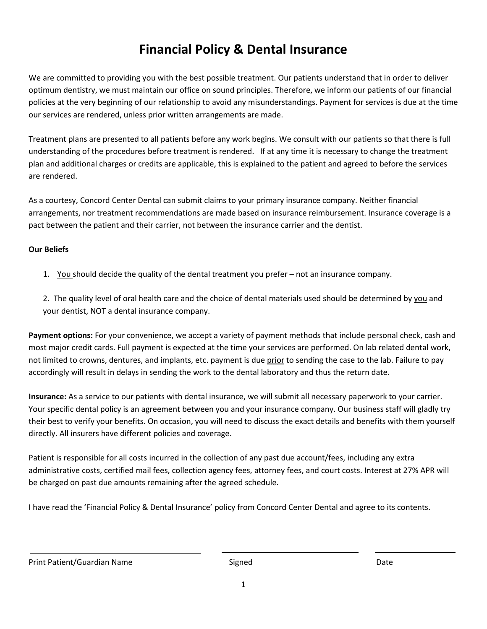## **Financial Policy & Dental Insurance**

We are committed to providing you with the best possible treatment. Our patients understand that in order to deliver optimum dentistry, we must maintain our office on sound principles. Therefore, we inform our patients of our financial policies at the very beginning of our relationship to avoid any misunderstandings. Payment for services is due at the time our services are rendered, unless prior written arrangements are made.

Treatment plans are presented to all patients before any work begins. We consult with our patients so that there is full understanding of the procedures before treatment is rendered. If at any time it is necessary to change the treatment plan and additional charges or credits are applicable, this is explained to the patient and agreed to before the services are rendered.

As a courtesy, Concord Center Dental can submit claims to your primary insurance company. Neither financial arrangements, nor treatment recommendations are made based on insurance reimbursement. Insurance coverage is a pact between the patient and their carrier, not between the insurance carrier and the dentist.

#### **Our Beliefs**

1. You should decide the quality of the dental treatment you prefer – not an insurance company.

2. The quality level of oral health care and the choice of dental materials used should be determined by you and your dentist, NOT a dental insurance company.

**Payment options:** For your convenience, we accept a variety of payment methods that include personal check, cash and most major credit cards. Full payment is expected at the time your services are performed. On lab related dental work, not limited to crowns, dentures, and implants, etc. payment is due prior to sending the case to the lab. Failure to pay accordingly will result in delays in sending the work to the dental laboratory and thus the return date.

**Insurance:** As a service to our patients with dental insurance, we will submit all necessary paperwork to your carrier. Your specific dental policy is an agreement between you and your insurance company. Our business staff will gladly try their best to verify your benefits. On occasion, you will need to discuss the exact details and benefits with them yourself directly. All insurers have different policies and coverage.

Patient is responsible for all costs incurred in the collection of any past due account/fees, including any extra administrative costs, certified mail fees, collection agency fees, attorney fees, and court costs. Interest at 27% APR will be charged on past due amounts remaining after the agreed schedule.

I have read the 'Financial Policy & Dental Insurance' policy from Concord Center Dental and agree to its contents.

Print Patient/Guardian Name Signed Signed Date Date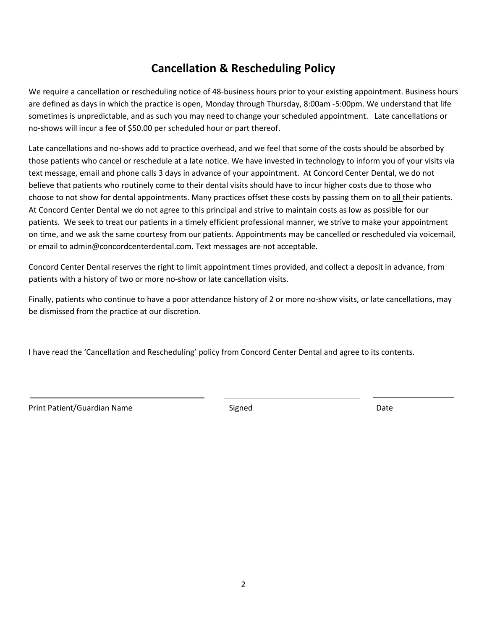#### **Cancellation & Rescheduling Policy**

We require a cancellation or rescheduling notice of 48-business hours prior to your existing appointment. Business hours are defined as days in which the practice is open, Monday through Thursday, 8:00am -5:00pm. We understand that life sometimes is unpredictable, and as such you may need to change your scheduled appointment. Late cancellations or no-shows will incur a fee of \$50.00 per scheduled hour or part thereof.

Late cancellations and no-shows add to practice overhead, and we feel that some of the costs should be absorbed by those patients who cancel or reschedule at a late notice. We have invested in technology to inform you of your visits via text message, email and phone calls 3 days in advance of your appointment. At Concord Center Dental, we do not believe that patients who routinely come to their dental visits should have to incur higher costs due to those who choose to not show for dental appointments. Many practices offset these costs by passing them on to all their patients. At Concord Center Dental we do not agree to this principal and strive to maintain costs as low as possible for our patients. We seek to treat our patients in a timely efficient professional manner, we strive to make your appointment on time, and we ask the same courtesy from our patients. Appointments may be cancelled or rescheduled via voicemail, or email to admin@concordcenterdental.com. Text messages are not acceptable.

Concord Center Dental reserves the right to limit appointment times provided, and collect a deposit in advance, from patients with a history of two or more no-show or late cancellation visits.

Finally, patients who continue to have a poor attendance history of 2 or more no-show visits, or late cancellations, may be dismissed from the practice at our discretion.

I have read the 'Cancellation and Rescheduling' policy from Concord Center Dental and agree to its contents.

Print Patient/Guardian Name Signed Signed Date Date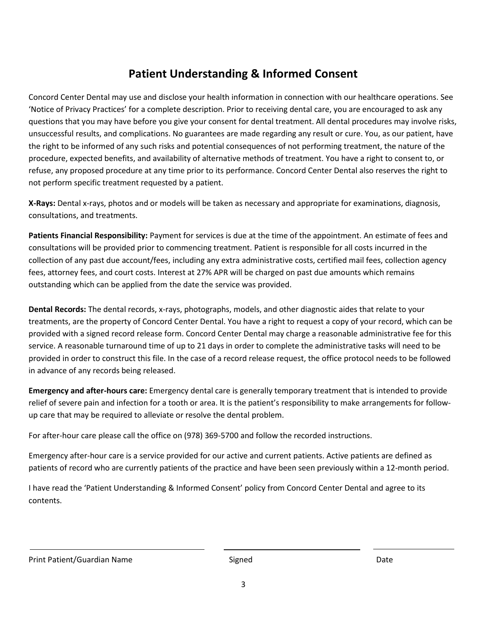### **Patient Understanding & Informed Consent**

Concord Center Dental may use and disclose your health information in connection with our healthcare operations. See 'Notice of Privacy Practices' for a complete description. Prior to receiving dental care, you are encouraged to ask any questions that you may have before you give your consent for dental treatment. All dental procedures may involve risks, unsuccessful results, and complications. No guarantees are made regarding any result or cure. You, as our patient, have the right to be informed of any such risks and potential consequences of not performing treatment, the nature of the procedure, expected benefits, and availability of alternative methods of treatment. You have a right to consent to, or refuse, any proposed procedure at any time prior to its performance. Concord Center Dental also reserves the right to not perform specific treatment requested by a patient.

**X-Rays:** Dental x-rays, photos and or models will be taken as necessary and appropriate for examinations, diagnosis, consultations, and treatments.

**Patients Financial Responsibility:** Payment for services is due at the time of the appointment. An estimate of fees and consultations will be provided prior to commencing treatment. Patient is responsible for all costs incurred in the collection of any past due account/fees, including any extra administrative costs, certified mail fees, collection agency fees, attorney fees, and court costs. Interest at 27% APR will be charged on past due amounts which remains outstanding which can be applied from the date the service was provided.

**Dental Records:** The dental records, x-rays, photographs, models, and other diagnostic aides that relate to your treatments, are the property of Concord Center Dental. You have a right to request a copy of your record, which can be provided with a signed record release form. Concord Center Dental may charge a reasonable administrative fee for this service. A reasonable turnaround time of up to 21 days in order to complete the administrative tasks will need to be provided in order to construct this file. In the case of a record release request, the office protocol needs to be followed in advance of any records being released.

**Emergency and after-hours care:** Emergency dental care is generally temporary treatment that is intended to provide relief of severe pain and infection for a tooth or area. It is the patient's responsibility to make arrangements for followup care that may be required to alleviate or resolve the dental problem.

For after-hour care please call the office on (978) 369-5700 and follow the recorded instructions.

Emergency after-hour care is a service provided for our active and current patients. Active patients are defined as patients of record who are currently patients of the practice and have been seen previously within a 12-month period.

I have read the 'Patient Understanding & Informed Consent' policy from Concord Center Dental and agree to its contents.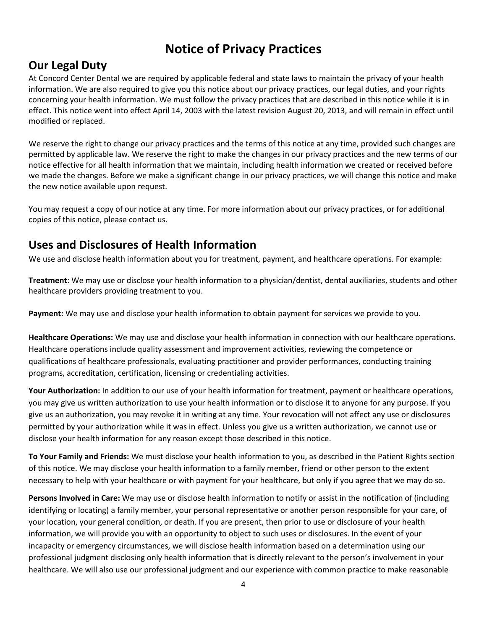### **Notice of Privacy Practices**

#### **Our Legal Duty**

At Concord Center Dental we are required by applicable federal and state laws to maintain the privacy of your health information. We are also required to give you this notice about our privacy practices, our legal duties, and your rights concerning your health information. We must follow the privacy practices that are described in this notice while it is in effect. This notice went into effect April 14, 2003 with the latest revision August 20, 2013, and will remain in effect until modified or replaced.

We reserve the right to change our privacy practices and the terms of this notice at any time, provided such changes are permitted by applicable law. We reserve the right to make the changes in our privacy practices and the new terms of our notice effective for all health information that we maintain, including health information we created or received before we made the changes. Before we make a significant change in our privacy practices, we will change this notice and make the new notice available upon request.

You may request a copy of our notice at any time. For more information about our privacy practices, or for additional copies of this notice, please contact us.

#### **Uses and Disclosures of Health Information**

We use and disclose health information about you for treatment, payment, and healthcare operations. For example:

**Treatment**: We may use or disclose your health information to a physician/dentist, dental auxiliaries, students and other healthcare providers providing treatment to you.

**Payment:** We may use and disclose your health information to obtain payment for services we provide to you.

**Healthcare Operations:** We may use and disclose your health information in connection with our healthcare operations. Healthcare operations include quality assessment and improvement activities, reviewing the competence or qualifications of healthcare professionals, evaluating practitioner and provider performances, conducting training programs, accreditation, certification, licensing or credentialing activities.

**Your Authorization:** In addition to our use of your health information for treatment, payment or healthcare operations, you may give us written authorization to use your health information or to disclose it to anyone for any purpose. If you give us an authorization, you may revoke it in writing at any time. Your revocation will not affect any use or disclosures permitted by your authorization while it was in effect. Unless you give us a written authorization, we cannot use or disclose your health information for any reason except those described in this notice.

**To Your Family and Friends:** We must disclose your health information to you, as described in the Patient Rights section of this notice. We may disclose your health information to a family member, friend or other person to the extent necessary to help with your healthcare or with payment for your healthcare, but only if you agree that we may do so.

**Persons Involved in Care:** We may use or disclose health information to notify or assist in the notification of (including identifying or locating) a family member, your personal representative or another person responsible for your care, of your location, your general condition, or death. If you are present, then prior to use or disclosure of your health information, we will provide you with an opportunity to object to such uses or disclosures. In the event of your incapacity or emergency circumstances, we will disclose health information based on a determination using our professional judgment disclosing only health information that is directly relevant to the person's involvement in your healthcare. We will also use our professional judgment and our experience with common practice to make reasonable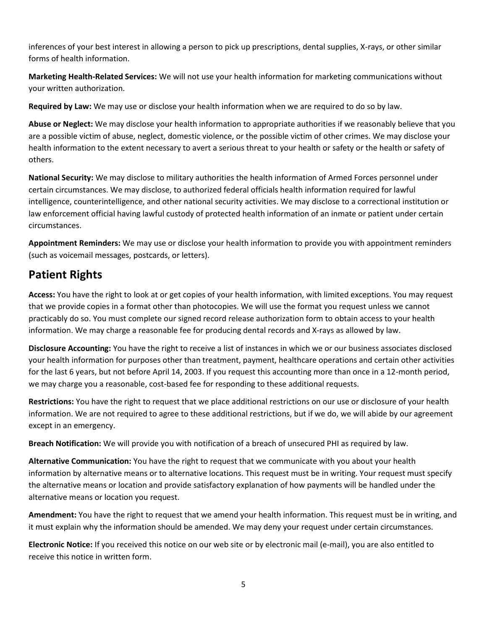inferences of your best interest in allowing a person to pick up prescriptions, dental supplies, X-rays, or other similar forms of health information.

**Marketing Health-Related Services:** We will not use your health information for marketing communications without your written authorization.

**Required by Law:** We may use or disclose your health information when we are required to do so by law.

**Abuse or Neglect:** We may disclose your health information to appropriate authorities if we reasonably believe that you are a possible victim of abuse, neglect, domestic violence, or the possible victim of other crimes. We may disclose your health information to the extent necessary to avert a serious threat to your health or safety or the health or safety of others.

**National Security:** We may disclose to military authorities the health information of Armed Forces personnel under certain circumstances. We may disclose, to authorized federal officials health information required for lawful intelligence, counterintelligence, and other national security activities. We may disclose to a correctional institution or law enforcement official having lawful custody of protected health information of an inmate or patient under certain circumstances.

**Appointment Reminders:** We may use or disclose your health information to provide you with appointment reminders (such as voicemail messages, postcards, or letters).

#### **Patient Rights**

**Access:** You have the right to look at or get copies of your health information, with limited exceptions. You may request that we provide copies in a format other than photocopies. We will use the format you request unless we cannot practicably do so. You must complete our signed record release authorization form to obtain access to your health information. We may charge a reasonable fee for producing dental records and X-rays as allowed by law.

**Disclosure Accounting:** You have the right to receive a list of instances in which we or our business associates disclosed your health information for purposes other than treatment, payment, healthcare operations and certain other activities for the last 6 years, but not before April 14, 2003. If you request this accounting more than once in a 12-month period, we may charge you a reasonable, cost-based fee for responding to these additional requests.

**Restrictions:** You have the right to request that we place additional restrictions on our use or disclosure of your health information. We are not required to agree to these additional restrictions, but if we do, we will abide by our agreement except in an emergency.

**Breach Notification:** We will provide you with notification of a breach of unsecured PHI as required by law.

**Alternative Communication:** You have the right to request that we communicate with you about your health information by alternative means or to alternative locations. This request must be in writing. Your request must specify the alternative means or location and provide satisfactory explanation of how payments will be handled under the alternative means or location you request.

**Amendment:** You have the right to request that we amend your health information. This request must be in writing, and it must explain why the information should be amended. We may deny your request under certain circumstances.

**Electronic Notice:** If you received this notice on our web site or by electronic mail (e-mail), you are also entitled to receive this notice in written form.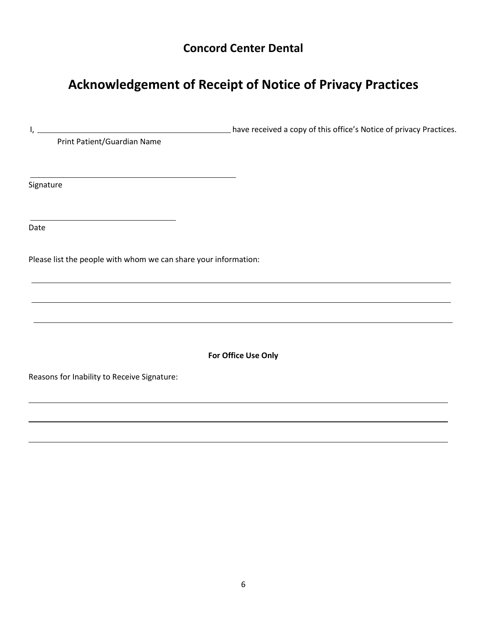### **Concord Center Dental**

# **Acknowledgement of Receipt of Notice of Privacy Practices**

| <u> 1989 - Johann Stoff, fransk politik (d. 1989)</u>           | have received a copy of this office's Notice of privacy Practices.                                                                                                                                  |
|-----------------------------------------------------------------|-----------------------------------------------------------------------------------------------------------------------------------------------------------------------------------------------------|
| Print Patient/Guardian Name                                     |                                                                                                                                                                                                     |
|                                                                 |                                                                                                                                                                                                     |
| Signature                                                       |                                                                                                                                                                                                     |
|                                                                 |                                                                                                                                                                                                     |
| Date                                                            |                                                                                                                                                                                                     |
| Please list the people with whom we can share your information: |                                                                                                                                                                                                     |
|                                                                 | the contract of the contract of the contract of the contract of the contract of the contract of the contract of<br>,我们也不会有什么。""我们的人,我们也不会有什么?""我们的人,我们也不会有什么?""我们的人,我们也不会有什么?""我们的人,我们也不会有什么?""我们的人 |
|                                                                 |                                                                                                                                                                                                     |
|                                                                 |                                                                                                                                                                                                     |
|                                                                 | For Office Use Only                                                                                                                                                                                 |
| Reasons for Inability to Receive Signature:                     |                                                                                                                                                                                                     |
|                                                                 |                                                                                                                                                                                                     |
|                                                                 |                                                                                                                                                                                                     |
|                                                                 |                                                                                                                                                                                                     |